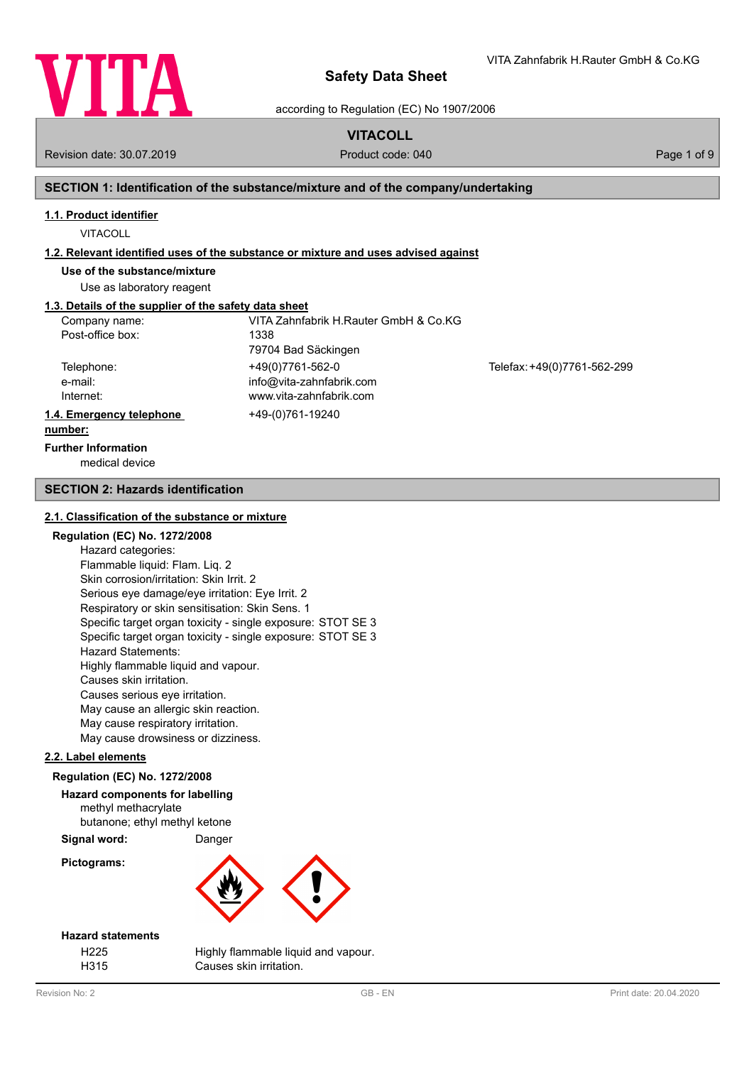

according to Regulation (EC) No 1907/2006

# **VITACOLL**

Revision date: 30.07.2019 **Product code: 040** Product code: 040 **Page 1 of 9** Page 1 of 9

VITA Zahnfabrik H.Rauter GmbH & Co.KG

# **SECTION 1: Identification of the substance/mixture and of the company/undertaking**

## **1.1. Product identifier**

VITACOLL

#### **1.2. Relevant identified uses of the substance or mixture and uses advised against**

**Use of the substance/mixture**

Use as laboratory reagent

# **1.3. Details of the supplier of the safety data sheet**

| Company name:            | VITA Zahnfabrik H.Rauter GmbH & Co.KG |                             |
|--------------------------|---------------------------------------|-----------------------------|
| Post-office box:         | 1338                                  |                             |
|                          | 79704 Bad Säckingen                   |                             |
| Telephone:               | +49(0)7761-562-0                      | Telefax: +49(0)7761-562-299 |
| e-mail:                  | info@vita-zahnfabrik.com              |                             |
| Internet:                | www.vita-zahnfabrik.com               |                             |
| 1.4. Emergency telephone | +49-(0)761-19240                      |                             |
| number:                  |                                       |                             |

# **Further Information**

medical device

#### **SECTION 2: Hazards identification**

#### **2.1. Classification of the substance or mixture**

#### **Regulation (EC) No. 1272/2008**

Hazard categories: Flammable liquid: Flam. Liq. 2 Skin corrosion/irritation: Skin Irrit. 2 Serious eye damage/eye irritation: Eye Irrit. 2 Respiratory or skin sensitisation: Skin Sens. 1 Specific target organ toxicity - single exposure: STOT SE 3 Specific target organ toxicity - single exposure: STOT SE 3 Hazard Statements: Highly flammable liquid and vapour. Causes skin irritation. Causes serious eye irritation. May cause an allergic skin reaction. May cause respiratory irritation. May cause drowsiness or dizziness.

#### **2.2. Label elements**

## **Regulation (EC) No. 1272/2008**

# **Hazard components for labelling** methyl methacrylate

butanone; ethyl methyl ketone

**Signal word:** Danger

# **Pictograms:**





## **Hazard statements**

H225 Highly flammable liquid and vapour. H315 Causes skin irritation.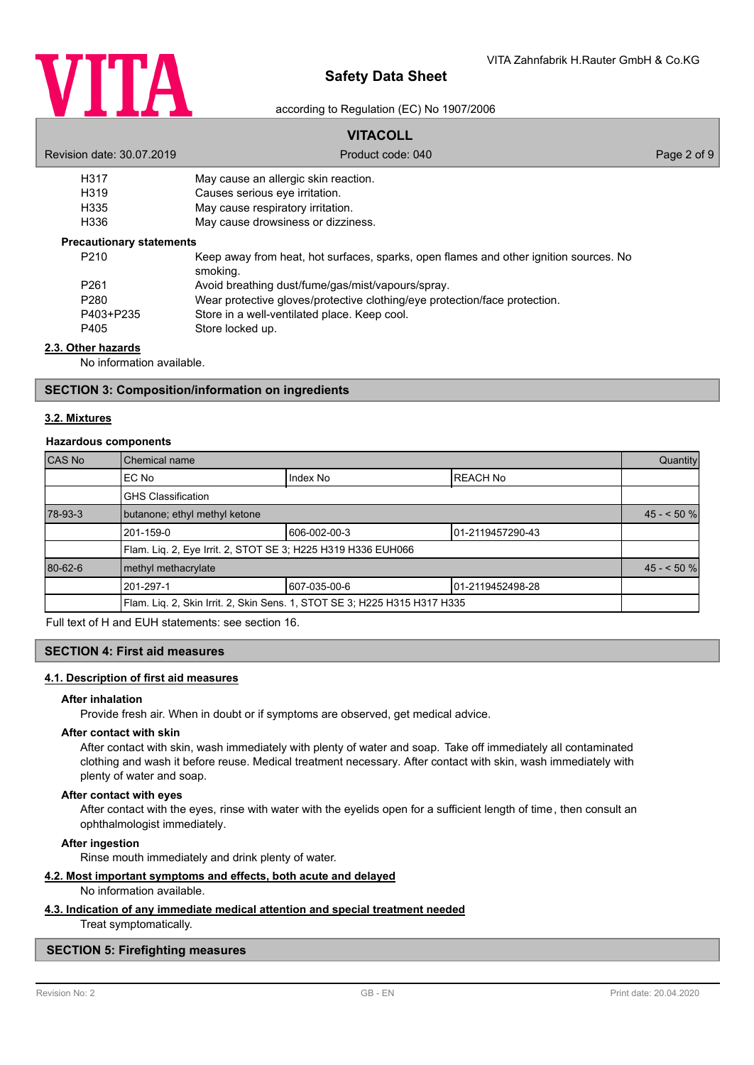

according to Regulation (EC) No 1907/2006

# **VITACOLL**

| Revision date: 30.07.2019                      | Product code: 040                                                                                 | Page 2 of 9 |
|------------------------------------------------|---------------------------------------------------------------------------------------------------|-------------|
| H317                                           | May cause an allergic skin reaction.                                                              |             |
| H <sub>319</sub>                               | Causes serious eve irritation.                                                                    |             |
| H335                                           | May cause respiratory irritation.                                                                 |             |
| H336                                           | May cause drowsiness or dizziness.                                                                |             |
| <b>Precautionary statements</b>                |                                                                                                   |             |
| P <sub>210</sub>                               | Keep away from heat, hot surfaces, sparks, open flames and other ignition sources. No<br>smoking. |             |
| P <sub>261</sub>                               | Avoid breathing dust/fume/gas/mist/vapours/spray.                                                 |             |
| P <sub>280</sub>                               | Wear protective gloves/protective clothing/eye protection/face protection.                        |             |
| P403+P235                                      | Store in a well-ventilated place. Keep cool.                                                      |             |
| P405                                           | Store locked up.                                                                                  |             |
| 2.3. Other hazards<br>No information available |                                                                                                   |             |

No information available.

#### **SECTION 3: Composition/information on ingredients**

#### **3.2. Mixtures**

#### **Hazardous components**

| CAS No  | Chemical name                                                |                                                                           |                   | Quantity   |
|---------|--------------------------------------------------------------|---------------------------------------------------------------------------|-------------------|------------|
|         | EC No                                                        | Index No                                                                  | <b>REACH No</b>   |            |
|         | <b>GHS Classification</b>                                    |                                                                           |                   |            |
| 78-93-3 | butanone; ethyl methyl ketone                                |                                                                           |                   | $45 - 50%$ |
|         | 201-159-0                                                    | 606-002-00-3                                                              | 101-2119457290-43 |            |
|         | Flam. Lig. 2, Eye Irrit. 2, STOT SE 3; H225 H319 H336 EUH066 |                                                                           |                   |            |
| 80-62-6 | methyl methacrylate                                          |                                                                           |                   | $45 - 50%$ |
|         | 201-297-1                                                    | 607-035-00-6                                                              | 01-2119452498-28  |            |
|         |                                                              | Flam. Lig. 2, Skin Irrit. 2, Skin Sens. 1, STOT SE 3; H225 H315 H317 H335 |                   |            |

Full text of H and EUH statements: see section 16.

# **SECTION 4: First aid measures**

# **4.1. Description of first aid measures**

#### **After inhalation**

Provide fresh air. When in doubt or if symptoms are observed, get medical advice.

#### **After contact with skin**

After contact with skin, wash immediately with plenty of water and soap. Take off immediately all contaminated clothing and wash it before reuse. Medical treatment necessary. After contact with skin, wash immediately with plenty of water and soap.

#### **After contact with eyes**

After contact with the eyes, rinse with water with the eyelids open for a sufficient length of time, then consult an ophthalmologist immediately.

# **After ingestion**

Rinse mouth immediately and drink plenty of water.

# **4.2. Most important symptoms and effects, both acute and delayed**

#### No information available.

#### **4.3. Indication of any immediate medical attention and special treatment needed**

Treat symptomatically.

## **SECTION 5: Firefighting measures**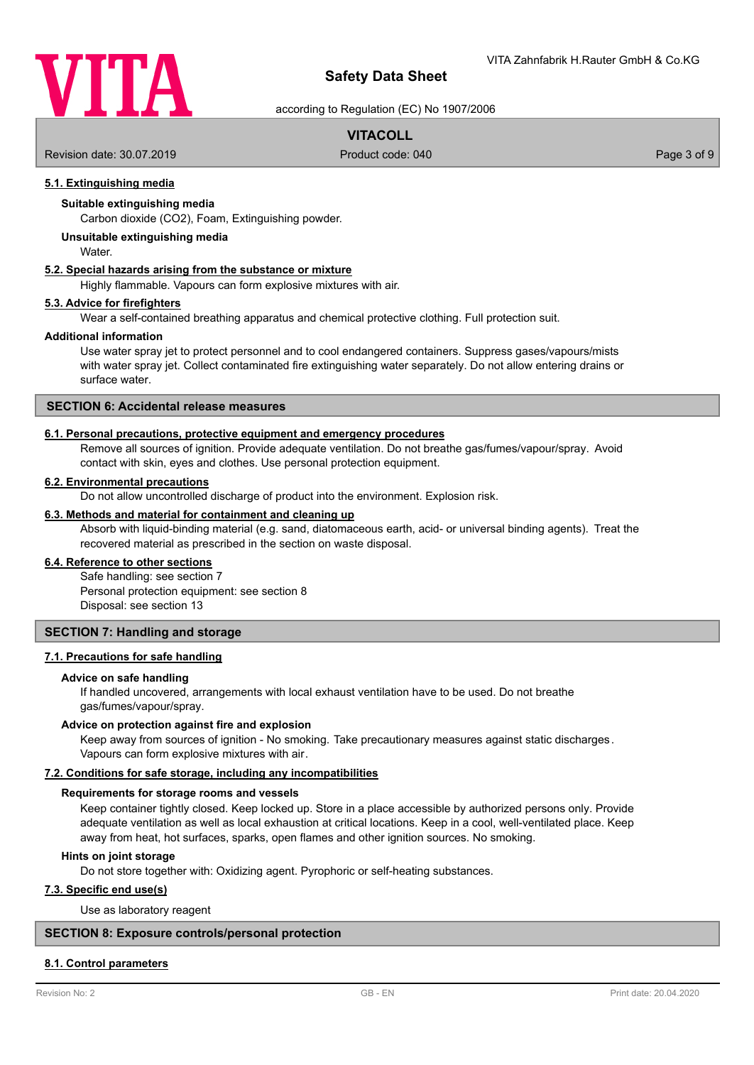

according to Regulation (EC) No 1907/2006

# **VITACOLL**

Revision date: 30.07.2019 **Product code: 040** Product code: 040 **Page 3 of 9** Page 3 of 9

# **5.1. Extinguishing media**

## **Suitable extinguishing media**

Carbon dioxide (CO2), Foam, Extinguishing powder.

# **Unsuitable extinguishing media**

**Water** 

# **5.2. Special hazards arising from the substance or mixture**

Highly flammable. Vapours can form explosive mixtures with air.

#### **5.3. Advice for firefighters**

Wear a self-contained breathing apparatus and chemical protective clothing. Full protection suit.

#### **Additional information**

Use water spray jet to protect personnel and to cool endangered containers. Suppress gases/vapours/mists with water spray jet. Collect contaminated fire extinguishing water separately. Do not allow entering drains or surface water.

# **SECTION 6: Accidental release measures**

# **6.1. Personal precautions, protective equipment and emergency procedures**

Remove all sources of ignition. Provide adequate ventilation. Do not breathe gas/fumes/vapour/spray. Avoid contact with skin, eyes and clothes. Use personal protection equipment.

#### **6.2. Environmental precautions**

Do not allow uncontrolled discharge of product into the environment. Explosion risk.

## **6.3. Methods and material for containment and cleaning up**

Absorb with liquid-binding material (e.g. sand, diatomaceous earth, acid- or universal binding agents). Treat the recovered material as prescribed in the section on waste disposal.

#### **6.4. Reference to other sections**

Safe handling: see section 7 Personal protection equipment: see section 8 Disposal: see section 13

#### **SECTION 7: Handling and storage**

## **7.1. Precautions for safe handling**

#### **Advice on safe handling**

If handled uncovered, arrangements with local exhaust ventilation have to be used. Do not breathe gas/fumes/vapour/spray.

#### **Advice on protection against fire and explosion**

Keep away from sources of ignition - No smoking. Take precautionary measures against static discharges. Vapours can form explosive mixtures with air.

#### **7.2. Conditions for safe storage, including any incompatibilities**

#### **Requirements for storage rooms and vessels**

Keep container tightly closed. Keep locked up. Store in a place accessible by authorized persons only. Provide adequate ventilation as well as local exhaustion at critical locations. Keep in a cool, well-ventilated place. Keep away from heat, hot surfaces, sparks, open flames and other ignition sources. No smoking.

#### **Hints on joint storage**

Do not store together with: Oxidizing agent. Pyrophoric or self-heating substances.

#### **7.3. Specific end use(s)**

Use as laboratory reagent

#### **SECTION 8: Exposure controls/personal protection**

#### **8.1. Control parameters**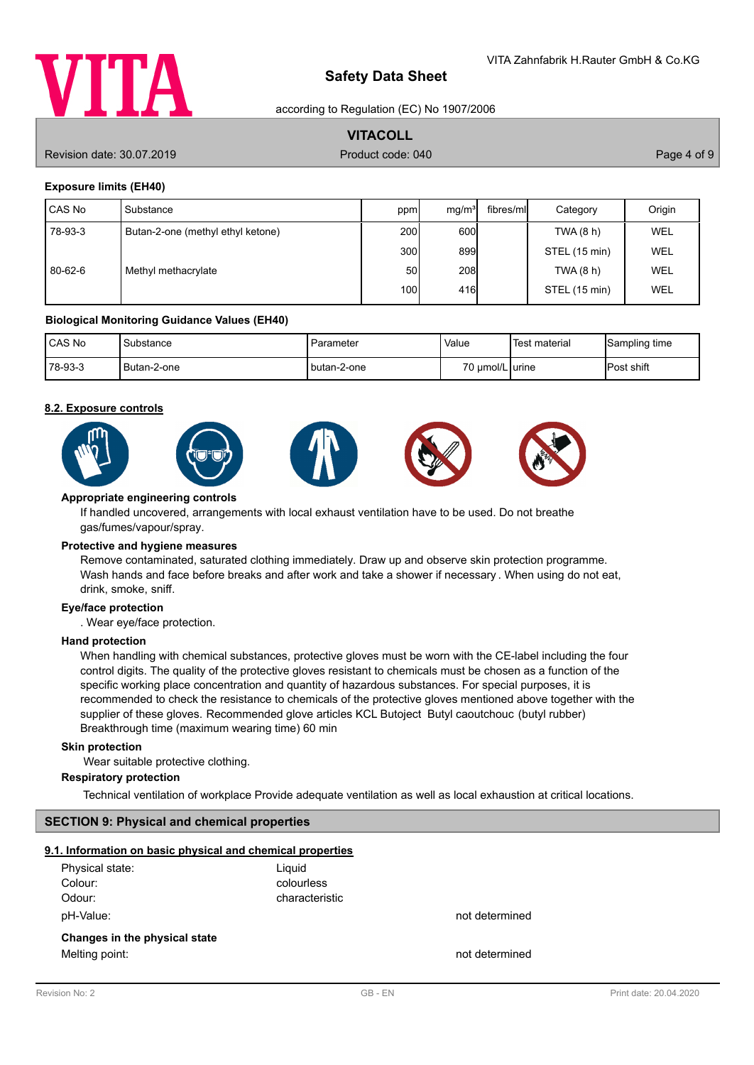

according to Regulation (EC) No 1907/2006

# **VITACOLL**

Revision date: 30.07.2019 **Product code: 040** Product code: 040 **Page 4 of 9** Page 4 of 9

# **Exposure limits (EH40)**

| CAS No  | l Substance                       | ppm              | mq/m <sup>3</sup> | fibres/mll | Category      | Origin     |
|---------|-----------------------------------|------------------|-------------------|------------|---------------|------------|
| 78-93-3 | Butan-2-one (methyl ethyl ketone) | 200 <sup>1</sup> | 600               |            | TWA(8 h)      | <b>WEL</b> |
|         |                                   | 300l             | 899               |            | STEL (15 min) | <b>WEL</b> |
| 80-62-6 | Methyl methacrylate               | 50               | 208               |            | TWA(8 h)      | <b>WEL</b> |
|         |                                   | 100I             | 416               |            | STEL (15 min) | WEL        |

#### **Biological Monitoring Guidance Values (EH40)**

| <b>ICAS No</b> | Substance   | ı Parameter   | Value           | <sup>1</sup> Test material | Sampling time     |
|----------------|-------------|---------------|-----------------|----------------------------|-------------------|
| $178 - 93 - 3$ | Butan-2-one | I butan-2-one | 70 µmol/L urine |                            | <b>Post shift</b> |

#### **8.2. Exposure controls**











#### **Appropriate engineering controls**

If handled uncovered, arrangements with local exhaust ventilation have to be used. Do not breathe gas/fumes/vapour/spray.

#### **Protective and hygiene measures**

Remove contaminated, saturated clothing immediately. Draw up and observe skin protection programme. Wash hands and face before breaks and after work and take a shower if necessary . When using do not eat, drink, smoke, sniff.

# **Eye/face protection**

. Wear eye/face protection.

#### **Hand protection**

When handling with chemical substances, protective gloves must be worn with the CE-label including the four control digits. The quality of the protective gloves resistant to chemicals must be chosen as a function of the specific working place concentration and quantity of hazardous substances. For special purposes, it is recommended to check the resistance to chemicals of the protective gloves mentioned above together with the supplier of these gloves. Recommended glove articles KCL Butoject Butyl caoutchouc (butyl rubber) Breakthrough time (maximum wearing time) 60 min

#### **Skin protection**

Wear suitable protective clothing.

#### **Respiratory protection**

Technical ventilation of workplace Provide adequate ventilation as well as local exhaustion at critical locations.

# **SECTION 9: Physical and chemical properties**

#### **9.1. Information on basic physical and chemical properties**

| Physical state:<br>Colour:    | Liquid<br>colourless |                |
|-------------------------------|----------------------|----------------|
| Odour:                        | characteristic       |                |
| pH-Value:                     |                      | not determined |
| Changes in the physical state |                      |                |
| Melting point:                |                      | not determined |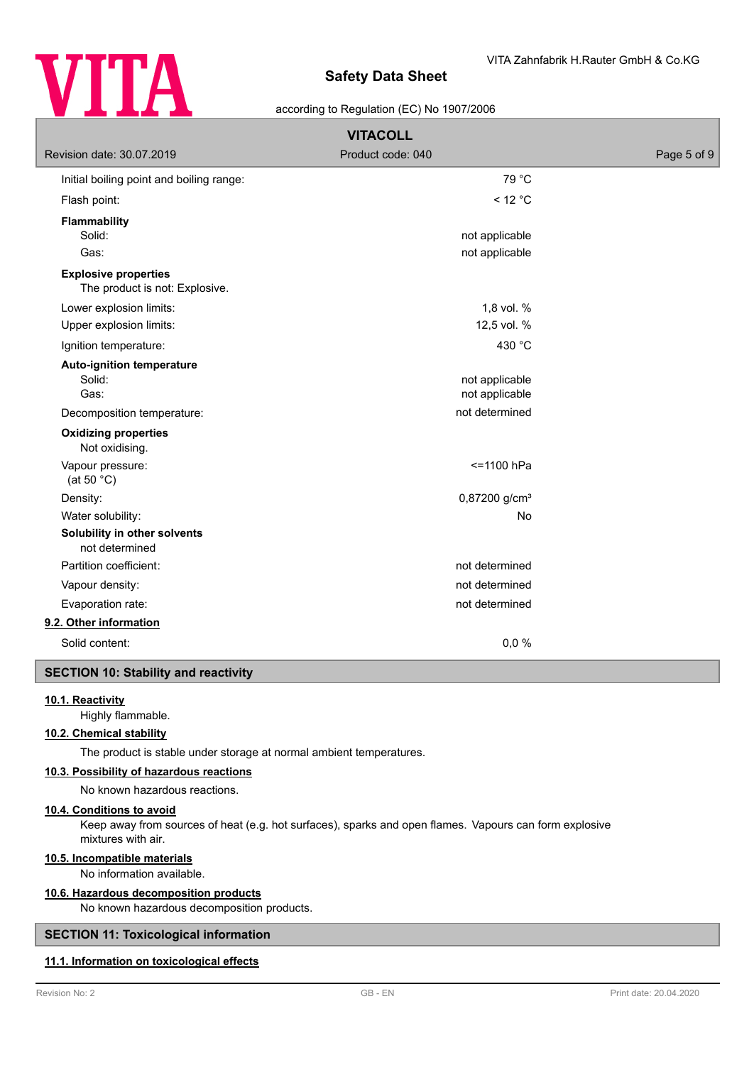

## according to Regulation (EC) No 1907/2006

| <b>VITACOLL</b>                                               |                                  |             |  |
|---------------------------------------------------------------|----------------------------------|-------------|--|
| Revision date: 30.07.2019                                     | Product code: 040                | Page 5 of 9 |  |
| Initial boiling point and boiling range:                      | 79 °C                            |             |  |
| Flash point:                                                  | $<$ 12 °C                        |             |  |
| <b>Flammability</b><br>Solid:<br>Gas:                         | not applicable<br>not applicable |             |  |
| <b>Explosive properties</b><br>The product is not: Explosive. |                                  |             |  |
| Lower explosion limits:                                       | 1,8 vol. %                       |             |  |
| Upper explosion limits:                                       | 12,5 vol. %                      |             |  |
| Ignition temperature:                                         | 430 °C                           |             |  |
| Auto-ignition temperature<br>Solid:<br>Gas:                   | not applicable<br>not applicable |             |  |
| Decomposition temperature:                                    | not determined                   |             |  |
| <b>Oxidizing properties</b><br>Not oxidising.                 |                                  |             |  |
| Vapour pressure:<br>(at 50 $°C$ )                             | $= 1100$ hPa                     |             |  |
| Density:                                                      | 0,87200 g/cm <sup>3</sup>        |             |  |
| Water solubility:                                             | No                               |             |  |
| Solubility in other solvents<br>not determined                |                                  |             |  |
| Partition coefficient:                                        | not determined                   |             |  |
| Vapour density:                                               | not determined                   |             |  |
| Evaporation rate:                                             | not determined                   |             |  |
| 9.2. Other information                                        |                                  |             |  |
| Solid content:                                                | 0,0%                             |             |  |
|                                                               |                                  |             |  |

#### **SECTION 10: Stability and reactivity**

#### **10.1. Reactivity**

Highly flammable.

# **10.2. Chemical stability**

The product is stable under storage at normal ambient temperatures.

# **10.3. Possibility of hazardous reactions**

No known hazardous reactions.

#### **10.4. Conditions to avoid**

Keep away from sources of heat (e.g. hot surfaces), sparks and open flames. Vapours can form explosive mixtures with air.

#### **10.5. Incompatible materials**

No information available.

#### **10.6. Hazardous decomposition products**

No known hazardous decomposition products.

# **SECTION 11: Toxicological information**

# **11.1. Information on toxicological effects**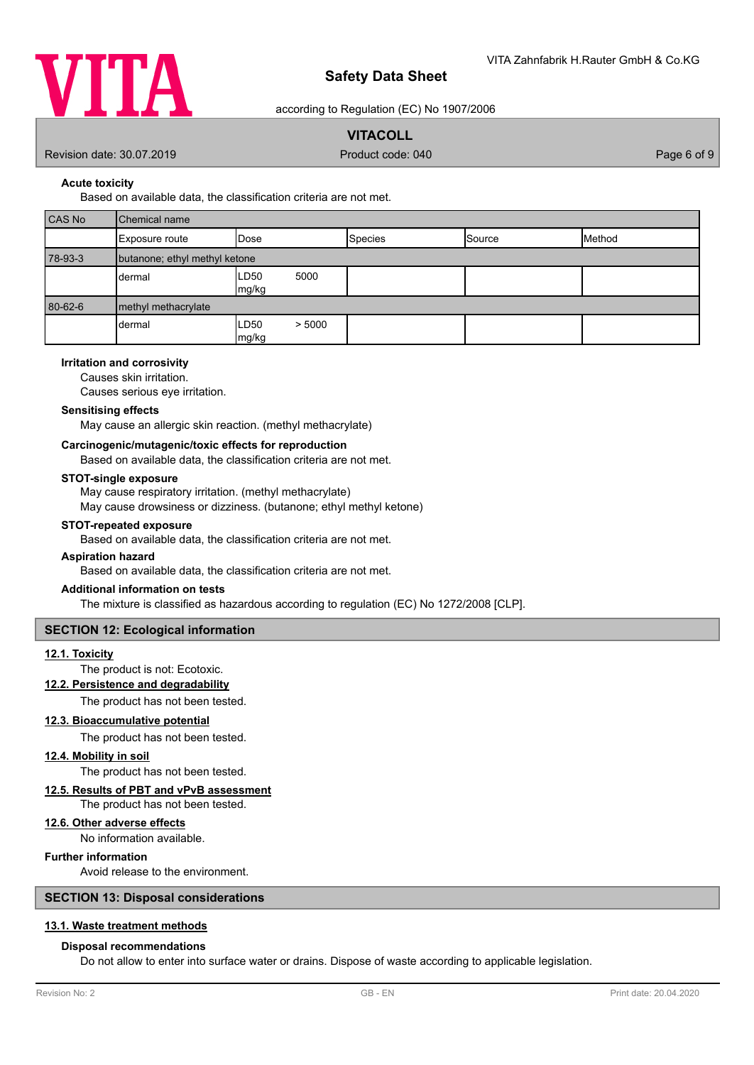

according to Regulation (EC) No 1907/2006

# **VITACOLL**

Revision date: 30.07.2019 **Product code: 040** Product code: 040 **Page 6 of 9** Page 6 of 9

**Acute toxicity**

Based on available data, the classification criteria are not met.

| CAS No  | Chemical name                 |                         |                |        |        |
|---------|-------------------------------|-------------------------|----------------|--------|--------|
|         | Exposure route                | Dose                    | <b>Species</b> | Source | Method |
| 78-93-3 | butanone; ethyl methyl ketone |                         |                |        |        |
|         | dermal                        | LD50<br>5000<br>mg/kg   |                |        |        |
| 80-62-6 | methyl methacrylate           |                         |                |        |        |
|         | dermal                        | > 5000<br>LD50<br>mg/kg |                |        |        |

# **Irritation and corrosivity**

Causes skin irritation.

Causes serious eye irritation.

#### **Sensitising effects**

May cause an allergic skin reaction. (methyl methacrylate)

## **Carcinogenic/mutagenic/toxic effects for reproduction**

Based on available data, the classification criteria are not met.

#### **STOT-single exposure**

May cause respiratory irritation. (methyl methacrylate) May cause drowsiness or dizziness. (butanone; ethyl methyl ketone)

#### **STOT-repeated exposure**

Based on available data, the classification criteria are not met.

#### **Aspiration hazard**

Based on available data, the classification criteria are not met.

#### **Additional information on tests**

The mixture is classified as hazardous according to regulation (EC) No 1272/2008 [CLP].

#### **SECTION 12: Ecological information**

# **12.1. Toxicity**

The product is not: Ecotoxic.

# **12.2. Persistence and degradability**

The product has not been tested.

## **12.3. Bioaccumulative potential**

The product has not been tested.

#### **12.4. Mobility in soil**

The product has not been tested.

# **12.5. Results of PBT and vPvB assessment**

The product has not been tested.

#### **12.6. Other adverse effects**

No information available.

## **Further information**

Avoid release to the environment.

# **SECTION 13: Disposal considerations**

### **13.1. Waste treatment methods**

#### **Disposal recommendations**

Do not allow to enter into surface water or drains. Dispose of waste according to applicable legislation.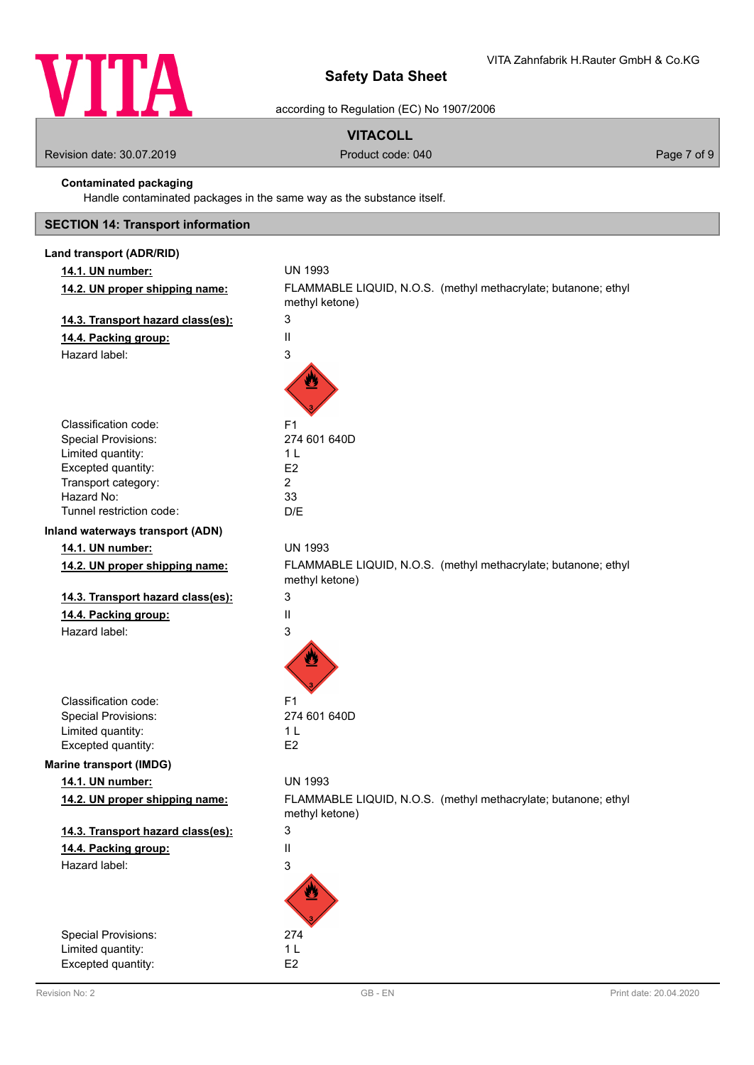

according to Regulation (EC) No 1907/2006

# **VITACOLL**

Revision date: 30.07.2019 **Product code: 040** Product code: 040 **Page 7 of 9** Page 7 of 9

# **Contaminated packaging**

Handle contaminated packages in the same way as the substance itself.

# **SECTION 14: Transport information**

| Land transport (ADR/RID)          |                                                                                  |
|-----------------------------------|----------------------------------------------------------------------------------|
| 14.1. UN number:                  | <b>UN 1993</b>                                                                   |
| 14.2. UN proper shipping name:    | FLAMMABLE LIQUID, N.O.S. (methyl methacrylate; butanone; ethyl<br>methyl ketone) |
| 14.3. Transport hazard class(es): | 3                                                                                |
| 14.4. Packing group:              | Ш                                                                                |
| Hazard label:                     | 3                                                                                |
|                                   |                                                                                  |
| Classification code:              | F <sub>1</sub>                                                                   |
| <b>Special Provisions:</b>        | 274 601 640D                                                                     |
| Limited quantity:                 | 1 L                                                                              |
| Excepted quantity:                | E <sub>2</sub><br>$\overline{2}$                                                 |
| Transport category:<br>Hazard No: | 33                                                                               |
| Tunnel restriction code:          | D/E                                                                              |
| Inland waterways transport (ADN)  |                                                                                  |
| 14.1. UN number:                  | <b>UN 1993</b>                                                                   |
| 14.2. UN proper shipping name:    | FLAMMABLE LIQUID, N.O.S. (methyl methacrylate; butanone; ethyl<br>methyl ketone) |
| 14.3. Transport hazard class(es): | 3                                                                                |
| 14.4. Packing group:              | Ш                                                                                |
| Hazard label:                     | 3                                                                                |
|                                   |                                                                                  |
| Classification code:              | F <sub>1</sub>                                                                   |
| <b>Special Provisions:</b>        | 274 601 640D                                                                     |
| Limited quantity:                 | 1 <sub>L</sub>                                                                   |
| Excepted quantity:                | E <sub>2</sub>                                                                   |
| <b>Marine transport (IMDG)</b>    |                                                                                  |
| 14.1. UN number:                  | <b>UN 1993</b>                                                                   |
| 14.2. UN proper shipping name:    | FLAMMABLE LIQUID, N.O.S. (methyl methacrylate; butanone; ethyl<br>methyl ketone) |
| 14.3. Transport hazard class(es): | 3                                                                                |
| 14.4. Packing group:              | $\mathbf{I}$                                                                     |
| Hazard label:                     | 3                                                                                |
|                                   |                                                                                  |
| Special Provisions:               | 274                                                                              |
| Limited quantity:                 | 1 <sub>L</sub>                                                                   |
| Excepted quantity:                | E <sub>2</sub>                                                                   |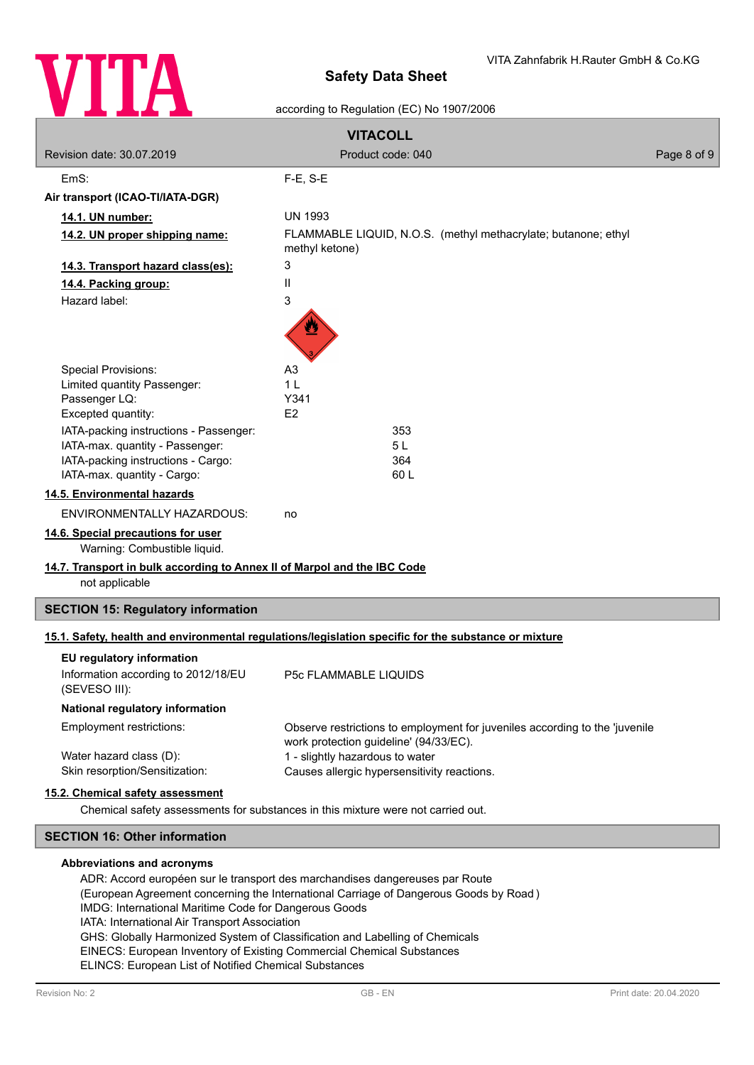

# according to Regulation (EC) No 1907/2006

| <b>VITACOLL</b>                                                          |                                                                                                      |             |
|--------------------------------------------------------------------------|------------------------------------------------------------------------------------------------------|-------------|
| Revision date: 30.07.2019                                                | Product code: 040                                                                                    | Page 8 of 9 |
| EmS:                                                                     | $F-E$ , S-E                                                                                          |             |
| Air transport (ICAO-TI/IATA-DGR)                                         |                                                                                                      |             |
| 14.1. UN number:                                                         | <b>UN 1993</b>                                                                                       |             |
| 14.2. UN proper shipping name:                                           | FLAMMABLE LIQUID, N.O.S. (methyl methacrylate; butanone; ethyl<br>methyl ketone)                     |             |
| 14.3. Transport hazard class(es):                                        | 3                                                                                                    |             |
| 14.4. Packing group:                                                     | Ш                                                                                                    |             |
| Hazard label:                                                            | 3                                                                                                    |             |
|                                                                          |                                                                                                      |             |
| <b>Special Provisions:</b>                                               | A <sub>3</sub><br>1 <sub>L</sub>                                                                     |             |
| Limited quantity Passenger:<br>Passenger LQ:                             | Y341                                                                                                 |             |
| Excepted quantity:                                                       | E <sub>2</sub>                                                                                       |             |
| IATA-packing instructions - Passenger:                                   | 353                                                                                                  |             |
| IATA-max. quantity - Passenger:                                          | 5L                                                                                                   |             |
| IATA-packing instructions - Cargo:<br>IATA-max. quantity - Cargo:        | 364<br>60L                                                                                           |             |
| 14.5. Environmental hazards                                              |                                                                                                      |             |
| <b>ENVIRONMENTALLY HAZARDOUS:</b>                                        | no                                                                                                   |             |
| 14.6. Special precautions for user                                       |                                                                                                      |             |
| Warning: Combustible liquid.                                             |                                                                                                      |             |
| 14.7. Transport in bulk according to Annex II of Marpol and the IBC Code |                                                                                                      |             |
| not applicable                                                           |                                                                                                      |             |
| <b>SECTION 15: Regulatory information</b>                                |                                                                                                      |             |
|                                                                          | 15.1. Safety, health and environmental regulations/legislation specific for the substance or mixture |             |
| EU regulatory information                                                |                                                                                                      |             |
| Information according to 2012/18/EU<br>(SEVESO III):                     | <b>P5c FLAMMABLE LIQUIDS</b>                                                                         |             |
| National regulatory information                                          |                                                                                                      |             |
| <b>Employment restrictions:</b>                                          | Observe restrictions to employment for juveniles according to the 'juvenile                          |             |
| Water hazard class (D):                                                  | work protection guideline' (94/33/EC).<br>1 - slightly hazardous to water                            |             |
| Skin resorption/Sensitization:                                           | Causes allergic hypersensitivity reactions.                                                          |             |
| 15.2. Chemical safety assessment                                         |                                                                                                      |             |
|                                                                          | Chemical safety assessments for substances in this mixture were not carried out.                     |             |
| <b>SECTION 16: Other information</b>                                     |                                                                                                      |             |

#### **Abbreviations and acronyms**

ADR: Accord européen sur le transport des marchandises dangereuses par Route (European Agreement concerning the International Carriage of Dangerous Goods by Road ) IMDG: International Maritime Code for Dangerous Goods IATA: International Air Transport Association GHS: Globally Harmonized System of Classification and Labelling of Chemicals EINECS: European Inventory of Existing Commercial Chemical Substances ELINCS: European List of Notified Chemical Substances